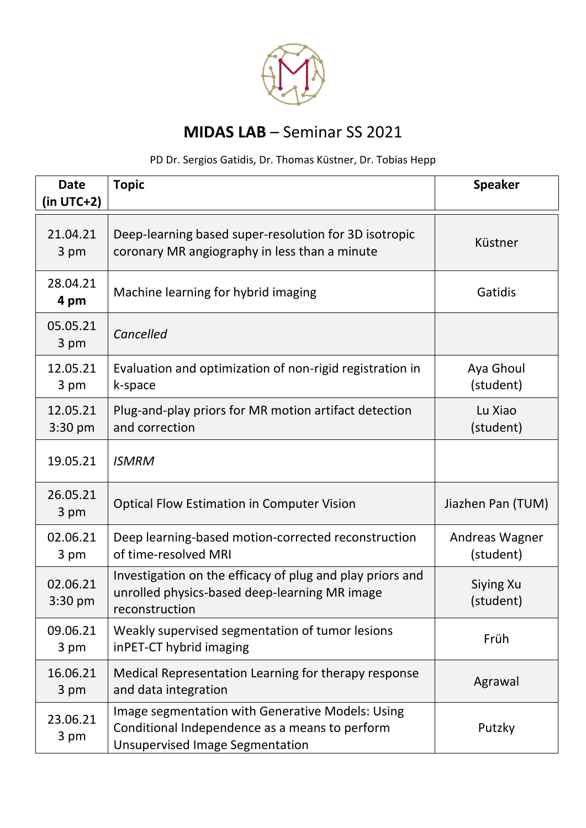

## **MIDAS LAB** – Seminar SS 2021

## PD Dr. Sergios Gatidis, Dr. Thomas Küstner, Dr. Tobias Hepp

| <b>Date</b><br>$(in UTC+2)$ | <b>Topic</b>                                                                                                                                 | <b>Speaker</b>              |
|-----------------------------|----------------------------------------------------------------------------------------------------------------------------------------------|-----------------------------|
| 21.04.21<br>3 pm            | Deep-learning based super-resolution for 3D isotropic<br>coronary MR angiography in less than a minute                                       | Küstner                     |
| 28.04.21<br>4 pm            | Machine learning for hybrid imaging                                                                                                          | Gatidis                     |
| 05.05.21<br>3 pm            | Cancelled                                                                                                                                    |                             |
| 12.05.21<br>3 pm            | Evaluation and optimization of non-rigid registration in<br>k-space                                                                          | Aya Ghoul<br>(student)      |
| 12.05.21<br>$3:30$ pm       | Plug-and-play priors for MR motion artifact detection<br>and correction                                                                      | Lu Xiao<br>(student)        |
| 19.05.21                    | <b>ISMRM</b>                                                                                                                                 |                             |
| 26.05.21<br>3 pm            | <b>Optical Flow Estimation in Computer Vision</b>                                                                                            | Jiazhen Pan (TUM)           |
| 02.06.21<br>3 pm            | Deep learning-based motion-corrected reconstruction<br>of time-resolved MRI                                                                  | Andreas Wagner<br>(student) |
| 02.06.21<br>3:30 pm         | Investigation on the efficacy of plug and play priors and<br>unrolled physics-based deep-learning MR image<br>reconstruction                 | Siying Xu<br>(student)      |
| 09.06.21<br>3 pm            | Weakly supervised segmentation of tumor lesions<br>inPET-CT hybrid imaging                                                                   | Früh                        |
| 16.06.21<br>3 pm            | Medical Representation Learning for therapy response<br>and data integration                                                                 | Agrawal                     |
| 23.06.21<br>3 pm            | Image segmentation with Generative Models: Using<br>Conditional Independence as a means to perform<br><b>Unsupervised Image Segmentation</b> | Putzky                      |